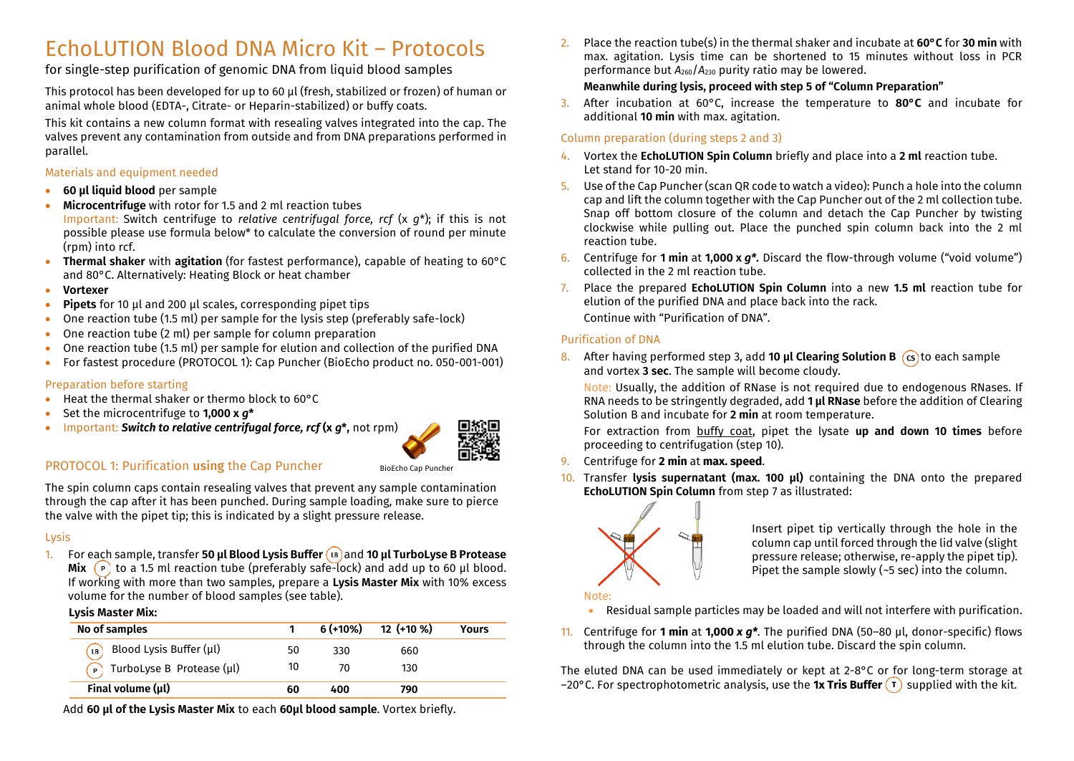# EchoLUTION Blood DNA Micro Kit – Protocols

for single-step purification of genomic DNA from liquid blood samples

This protocol has been developed for up to 60 µl (fresh, stabilized or frozen) of human or animal whole blood (EDTA-, Citrate- or Heparin-stabilized) or buffy coats.

This kit contains a new column format with resealing valves integrated into the cap. The valves prevent any contamination from outside and from DNA preparations performed in parallel.

#### Materials and equipment needed

- **60 µl liquid blood** per sample
- **Microcentrifuge** with rotor for 1.5 and 2 ml reaction tubes Important: Switch centrifuge to *relative centrifugal force, rcf* (x *g*\*); if this is not possible please use formula below\* to calculate the conversion of round per minute (rpm) into rcf.
- **Thermal shaker** with **agitation** (for fastest performance), capable of heating to 60°C and 80°C. Alternatively: Heating Block or heat chamber
- **Vortexer**
- **Pipets** for 10 µl and 200 µl scales, corresponding pipet tips
- One reaction tube (1.5 ml) per sample for the lysis step (preferably safe-lock)
- One reaction tube (2 ml) per sample for column preparation
- One reaction tube (1.5 ml) per sample for elution and collection of the purified DNA
- For fastest procedure (PROTOCOL 1): Cap Puncher (BioEcho product no. 050-001-001)

#### Preparation before starting

- Heat the thermal shaker or thermo block to 60°C
- Set the microcentrifuge to **1,000 x** *g***\***
- Important: *Switch to relative centrifugal force, rcf* **(x** *g***\*,** not rpm)



# PROTOCOL 1: Purification using the Cap Puncher

The spin column caps contain resealing valves that prevent any sample contamination through the cap after it has been punched. During sample loading, make sure to pierce the valve with the pipet tip; this is indicated by a slight pressure release.

#### Lysis

1. For each sample, transfer **50 µl Blood Lysis Buffer** and **10 µl TurboLyse B Protease Mix**  $\left(\begin{array}{cc} \circ \end{array}\right)$  to a 1.5 ml reaction tube (preferably safe-lock) and add up to 60 µl blood. If working with more than two samples, prepare a **Lysis Master Mix** with 10% excess volume for the number of blood samples (see table).

#### **Lysis Master Mix:**

| No of samples                          |    | $6 (+10%)$ | 12 (+10 %) | <b>Yours</b> |
|----------------------------------------|----|------------|------------|--------------|
| $\binom{n}{B}$ Blood Lysis Buffer (µl) | 50 | 330        | 660        |              |
| $\bigcap$ TurboLyse B Protease (µl)    | 10 | 70         | 130        |              |
| Final volume (µl)                      | 60 | 400        | 790        |              |

Add **60 µl of the Lysis Master Mix** to each **60µl blood sample**. Vortex briefly.

2. Place the reaction tube(s) in the thermal shaker and incubate at **60°C** for **30 min** with max. agitation. Lysis time can be shortened to 15 minutes without loss in PCR performance but *A*260/*A*<sup>230</sup> purity ratio may be lowered.

#### **Meanwhile during lysis, proceed with step 5 of "Column Preparation"**

3. After incubation at 60°C, increase the temperature to **80°C** and incubate for additional **10 min** with max. agitation.

# Column preparation (during steps 2 and 3)

- 4. Vortex the **EchoLUTION Spin Column** briefly and place into a **2 ml** reaction tube. Let stand for 10-20 min.
- 5. Use of the Cap Puncher (scan QR code to watch a video): Punch a hole into the column cap and lift the column together with the Cap Puncher out of the 2 ml collection tube. Snap off bottom closure of the column and detach the Cap Puncher by twisting clockwise while pulling out. Place the punched spin column back into the 2 ml reaction tube.
- 6. Centrifuge for **1 min** at **1,000 x** *g\****.** Discard the flow-through volume ("void volume") collected in the 2 ml reaction tube.
- 7. Place the prepared **EchoLUTION Spin Column** into a new **1.5 ml** reaction tube for elution of the purified DNA and place back into the rack. Continue with "Purification of DNA".

#### Purification of DNA

8. After having performed step 3, add **10 µl Clearing Solution B** (cs) to each sample and vortex **3 sec**. The sample will become cloudy.

Note: Usually, the addition of RNase is not required due to endogenous RNases. If RNA needs to be stringently degraded, add **1 µl RNase** before the addition of Clearing Solution B and incubate for **2 min** at room temperature.

For extraction from buffy coat, pipet the lysate **up and down 10 times** before proceeding to centrifugation (step 10).

- 9. Centrifuge for **2 min** at **max. speed**.
- 10. Transfer **lysis supernatant (max. 100 µl)** containing the DNA onto the prepared **EchoLUTION Spin Column** from step 7 as illustrated:



Insert pipet tip vertically through the hole in the column cap until forced through the lid valve (slight pressure release; otherwise, re-apply the pipet tip). Pipet the sample slowly  $(-5 \text{ sec})$  into the column.

## Note:

- Residual sample particles may be loaded and will not interfere with purification.
- 11. Centrifuge for **1 min** at **1,000** *x g\**. The purified DNA (50–80 µl, donor-specific) flows through the column into the 1.5 ml elution tube. Discard the spin column.

The eluted DNA can be used immediately or kept at 2-8°C or for long-term storage at  $-20^{\circ}$ C. For spectrophotometric analysis, use the **1x Tris Buffer**  $\overline{1}$  supplied with the kit.